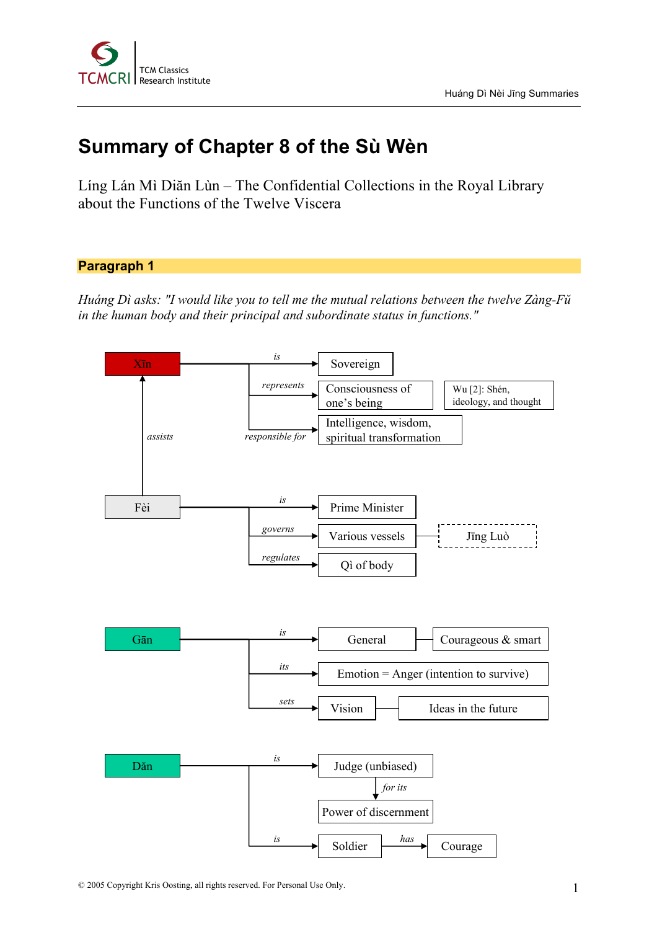

# **Summary of Chapter 8 of the Sù Wèn**

Líng Lán Mì Diăn Lùn – The Confidential Collections in the Royal Library about the Functions of the Twelve Viscera

## **Paragraph 1**

*Huáng Dì asks: "I would like you to tell me the mutual relations between the twelve Zàng-Fŭ in the human body and their principal and subordinate status in functions."*

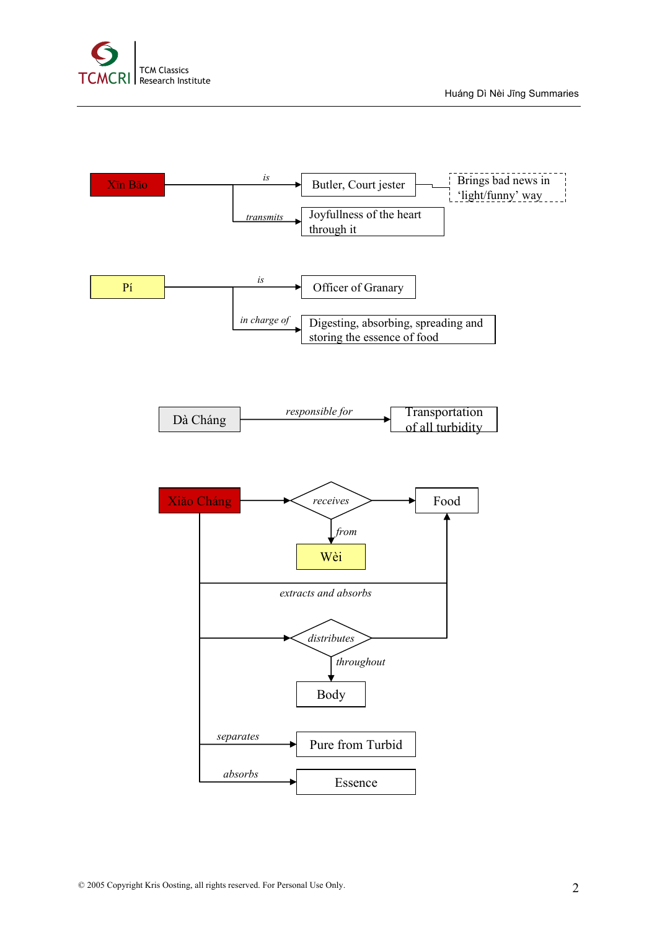

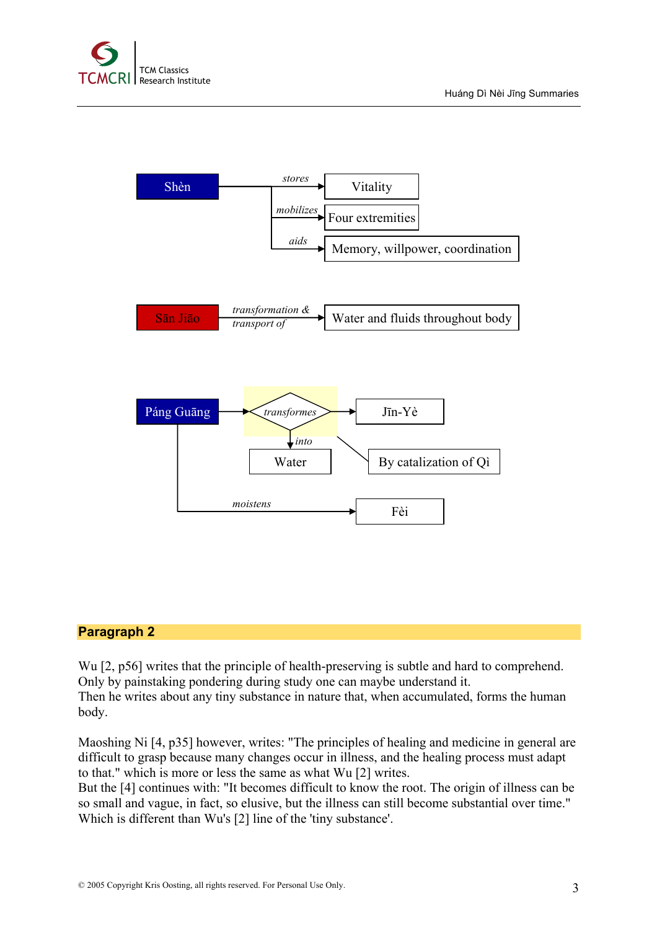



### **Paragraph 2**

Wu [2, p56] writes that the principle of health-preserving is subtle and hard to comprehend. Only by painstaking pondering during study one can maybe understand it. Then he writes about any tiny substance in nature that, when accumulated, forms the human body.

Maoshing Ni [4, p35] however, writes: "The principles of healing and medicine in general are difficult to grasp because many changes occur in illness, and the healing process must adapt to that." which is more or less the same as what Wu [2] writes.

But the [4] continues with: "It becomes difficult to know the root. The origin of illness can be so small and vague, in fact, so elusive, but the illness can still become substantial over time." Which is different than Wu's [2] line of the 'tiny substance'.